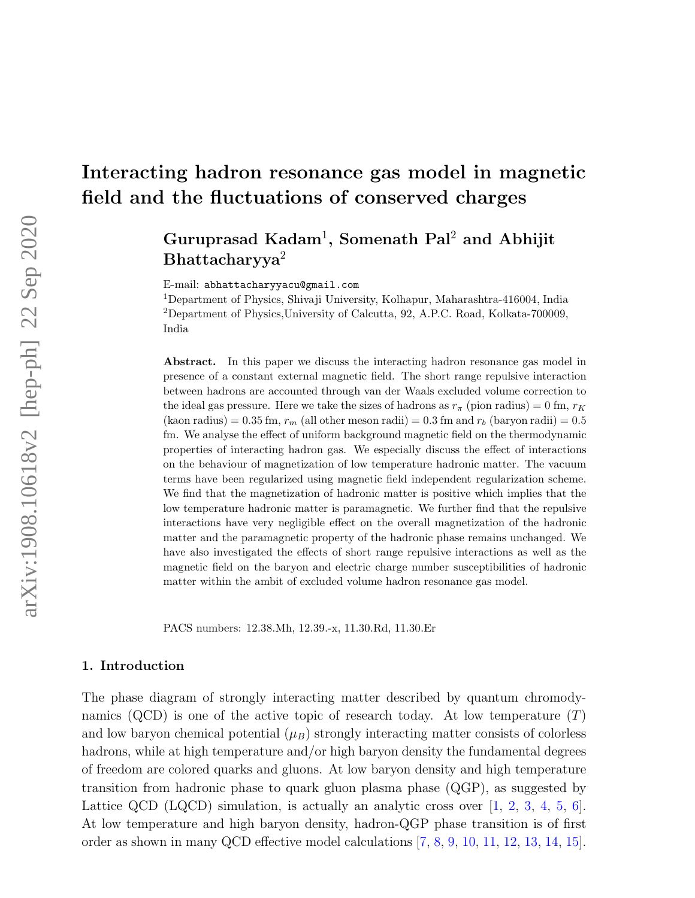## Guruprasad Kadam<sup>1</sup>, Somenath Pal<sup>2</sup> and Abhijit Bhattacharyya<sup>2</sup>

E-mail: abhattacharyyacu@gmail.com

<sup>1</sup>Department of Physics, Shivaji University, Kolhapur, Maharashtra-416004, India <sup>2</sup>Department of Physics,University of Calcutta, 92, A.P.C. Road, Kolkata-700009, India

Abstract. In this paper we discuss the interacting hadron resonance gas model in presence of a constant external magnetic field. The short range repulsive interaction between hadrons are accounted through van der Waals excluded volume correction to the ideal gas pressure. Here we take the sizes of hadrons as  $r_{\pi}$  (pion radius) = 0 fm,  $r_K$ (kaon radius) = 0.35 fm,  $r_m$  (all other meson radii) = 0.3 fm and  $r_b$  (baryon radii) = 0.5 fm. We analyse the effect of uniform background magnetic field on the thermodynamic properties of interacting hadron gas. We especially discuss the effect of interactions on the behaviour of magnetization of low temperature hadronic matter. The vacuum terms have been regularized using magnetic field independent regularization scheme. We find that the magnetization of hadronic matter is positive which implies that the low temperature hadronic matter is paramagnetic. We further find that the repulsive interactions have very negligible effect on the overall magnetization of the hadronic matter and the paramagnetic property of the hadronic phase remains unchanged. We have also investigated the effects of short range repulsive interactions as well as the magnetic field on the baryon and electric charge number susceptibilities of hadronic matter within the ambit of excluded volume hadron resonance gas model.

PACS numbers: 12.38.Mh, 12.39.-x, 11.30.Rd, 11.30.Er

#### 1. Introduction

The phase diagram of strongly interacting matter described by quantum chromodynamics (QCD) is one of the active topic of research today. At low temperature  $(T)$ and low baryon chemical potential  $(\mu_B)$  strongly interacting matter consists of colorless hadrons, while at high temperature and/or high baryon density the fundamental degrees of freedom are colored quarks and gluons. At low baryon density and high temperature transition from hadronic phase to quark gluon plasma phase (QGP), as suggested by Lattice QCD (LQCD) simulation, is actually an analytic cross over  $[1, 2, 3, 4, 5, 6]$ . At low temperature and high baryon density, hadron-QGP phase transition is of first order as shown in many QCD effective model calculations [7, 8, 9, 10, 11, 12, 13, 14, 15].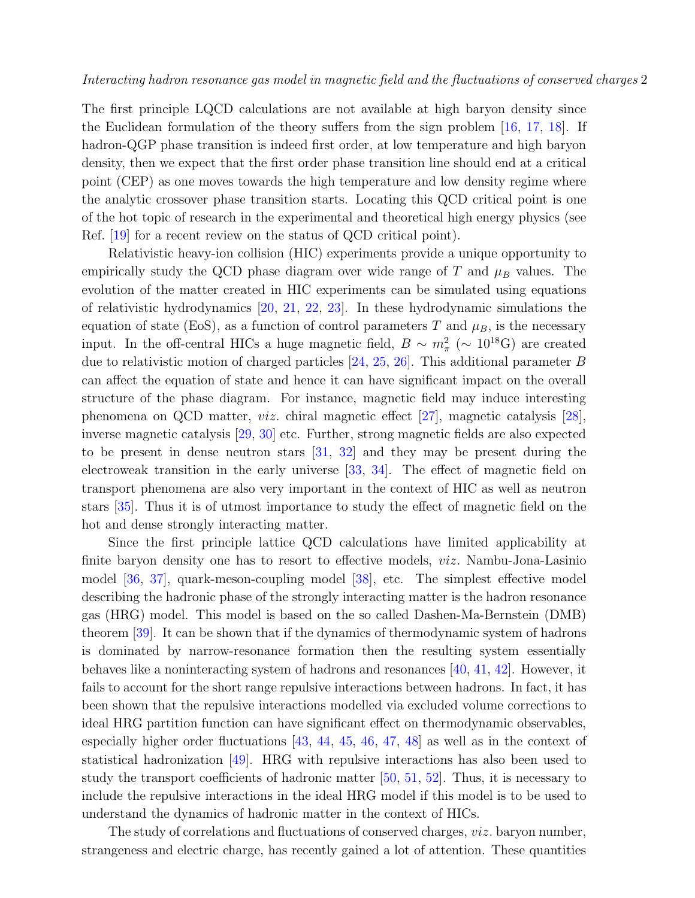The first principle LQCD calculations are not available at high baryon density since the Euclidean formulation of the theory suffers from the sign problem [16, 17, 18]. If hadron-QGP phase transition is indeed first order, at low temperature and high baryon density, then we expect that the first order phase transition line should end at a critical point (CEP) as one moves towards the high temperature and low density regime where the analytic crossover phase transition starts. Locating this QCD critical point is one of the hot topic of research in the experimental and theoretical high energy physics (see Ref. [19] for a recent review on the status of QCD critical point).

Relativistic heavy-ion collision (HIC) experiments provide a unique opportunity to empirically study the QCD phase diagram over wide range of T and  $\mu_B$  values. The evolution of the matter created in HIC experiments can be simulated using equations of relativistic hydrodynamics [20, 21, 22, 23]. In these hydrodynamic simulations the equation of state (EoS), as a function of control parameters T and  $\mu_B$ , is the necessary input. In the off-central HICs a huge magnetic field,  $B \sim m_{\pi}^2 \approx 10^{18} \text{G}$  are created due to relativistic motion of charged particles  $[24, 25, 26]$ . This additional parameter B can affect the equation of state and hence it can have significant impact on the overall structure of the phase diagram. For instance, magnetic field may induce interesting phenomena on QCD matter, viz. chiral magnetic effect [27], magnetic catalysis [28], inverse magnetic catalysis [29, 30] etc. Further, strong magnetic fields are also expected to be present in dense neutron stars [31, 32] and they may be present during the electroweak transition in the early universe [33, 34]. The effect of magnetic field on transport phenomena are also very important in the context of HIC as well as neutron stars [35]. Thus it is of utmost importance to study the effect of magnetic field on the hot and dense strongly interacting matter.

Since the first principle lattice QCD calculations have limited applicability at finite baryon density one has to resort to effective models, viz. Nambu-Jona-Lasinio model [36, 37], quark-meson-coupling model [38], etc. The simplest effective model describing the hadronic phase of the strongly interacting matter is the hadron resonance gas (HRG) model. This model is based on the so called Dashen-Ma-Bernstein (DMB) theorem [39]. It can be shown that if the dynamics of thermodynamic system of hadrons is dominated by narrow-resonance formation then the resulting system essentially behaves like a noninteracting system of hadrons and resonances  $[40, 41, 42]$ . However, it fails to account for the short range repulsive interactions between hadrons. In fact, it has been shown that the repulsive interactions modelled via excluded volume corrections to ideal HRG partition function can have significant effect on thermodynamic observables, especially higher order fluctuations [43, 44, 45, 46, 47, 48] as well as in the context of statistical hadronization [49]. HRG with repulsive interactions has also been used to study the transport coefficients of hadronic matter [50, 51, 52]. Thus, it is necessary to include the repulsive interactions in the ideal HRG model if this model is to be used to understand the dynamics of hadronic matter in the context of HICs.

The study of correlations and fluctuations of conserved charges, *viz*. baryon number, strangeness and electric charge, has recently gained a lot of attention. These quantities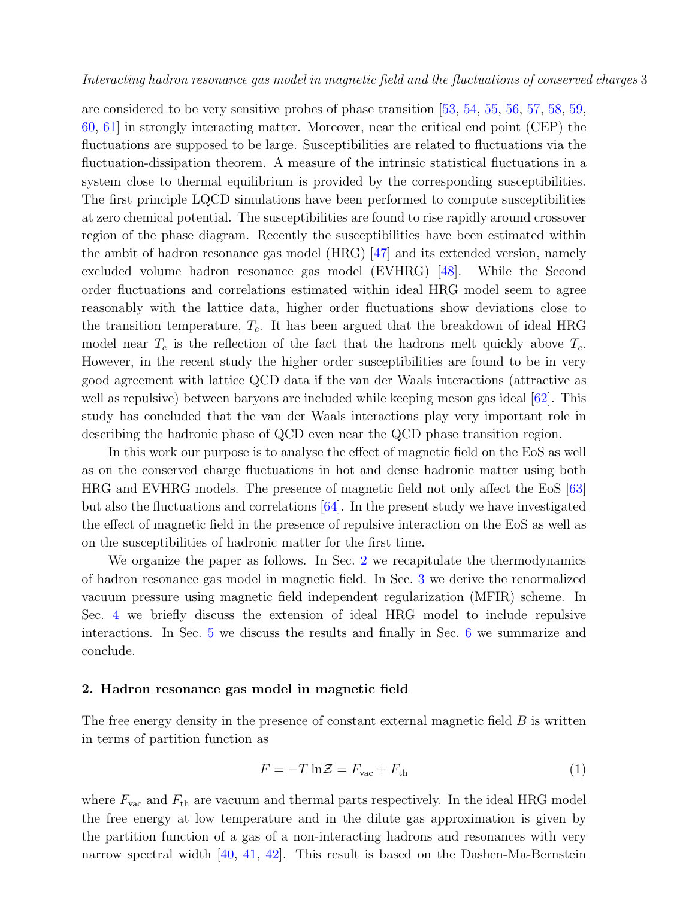are considered to be very sensitive probes of phase transition [53, 54, 55, 56, 57, 58, 59, 60, 61] in strongly interacting matter. Moreover, near the critical end point (CEP) the fluctuations are supposed to be large. Susceptibilities are related to fluctuations via the fluctuation-dissipation theorem. A measure of the intrinsic statistical fluctuations in a system close to thermal equilibrium is provided by the corresponding susceptibilities. The first principle LQCD simulations have been performed to compute susceptibilities at zero chemical potential. The susceptibilities are found to rise rapidly around crossover region of the phase diagram. Recently the susceptibilities have been estimated within the ambit of hadron resonance gas model  $(HRG)$  [47] and its extended version, namely excluded volume hadron resonance gas model (EVHRG) [48]. While the Second order fluctuations and correlations estimated within ideal HRG model seem to agree reasonably with the lattice data, higher order fluctuations show deviations close to the transition temperature,  $T_c$ . It has been argued that the breakdown of ideal HRG model near  $T_c$  is the reflection of the fact that the hadrons melt quickly above  $T_c$ . However, in the recent study the higher order susceptibilities are found to be in very good agreement with lattice QCD data if the van der Waals interactions (attractive as well as repulsive) between baryons are included while keeping meson gas ideal [62]. This study has concluded that the van der Waals interactions play very important role in describing the hadronic phase of QCD even near the QCD phase transition region.

In this work our purpose is to analyse the effect of magnetic field on the EoS as well as on the conserved charge fluctuations in hot and dense hadronic matter using both HRG and EVHRG models. The presence of magnetic field not only affect the EoS [63] but also the fluctuations and correlations  $[64]$ . In the present study we have investigated the effect of magnetic field in the presence of repulsive interaction on the EoS as well as on the susceptibilities of hadronic matter for the first time.

We organize the paper as follows. In Sec. 2 we recapitulate the thermodynamics of hadron resonance gas model in magnetic field. In Sec. 3 we derive the renormalized vacuum pressure using magnetic field independent regularization (MFIR) scheme. In Sec. 4 we briefly discuss the extension of ideal HRG model to include repulsive interactions. In Sec. 5 we discuss the results and finally in Sec. 6 we summarize and conclude.

#### 2. Hadron resonance gas model in magnetic field

The free energy density in the presence of constant external magnetic field  $B$  is written in terms of partition function as

$$
F = -T \ln \mathcal{Z} = F_{\text{vac}} + F_{\text{th}} \tag{1}
$$

where  $F_{\text{vac}}$  and  $F_{\text{th}}$  are vacuum and thermal parts respectively. In the ideal HRG model the free energy at low temperature and in the dilute gas approximation is given by the partition function of a gas of a non-interacting hadrons and resonances with very narrow spectral width [40, 41, 42]. This result is based on the Dashen-Ma-Bernstein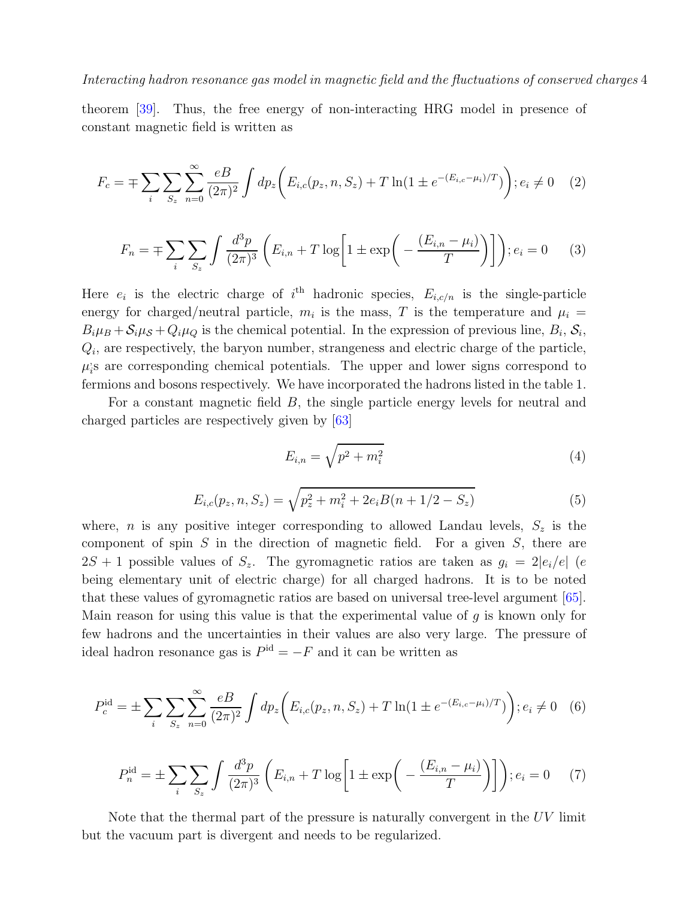theorem [39]. Thus, the free energy of non-interacting HRG model in presence of constant magnetic field is written as

$$
F_c = \mp \sum_{i} \sum_{S_z} \sum_{n=0}^{\infty} \frac{eB}{(2\pi)^2} \int dp_z \bigg( E_{i,c}(p_z, n, S_z) + T \ln(1 \pm e^{-(E_{i,c} - \mu_i)/T}) \bigg); e_i \neq 0 \quad (2)
$$

$$
F_n = \mp \sum_{i} \sum_{S_z} \int \frac{d^3 p}{(2\pi)^3} \left( E_{i,n} + T \log \left[ 1 \pm \exp \left( -\frac{(E_{i,n} - \mu_i)}{T} \right) \right] \right); e_i = 0 \quad (3)
$$

Here  $e_i$  is the electric charge of i<sup>th</sup> hadronic species,  $E_{i,c/n}$  is the single-particle energy for charged/neutral particle,  $m_i$  is the mass, T is the temperature and  $\mu_i =$  $B_i\mu_B + S_i\mu_S + Q_i\mu_Q$  is the chemical potential. In the expression of previous line,  $B_i$ ,  $S_i$ ,  $Q_i$ , are respectively, the baryon number, strangeness and electric charge of the particle,  $\mu_i^{\prime}$ i s are corresponding chemical potentials. The upper and lower signs correspond to fermions and bosons respectively. We have incorporated the hadrons listed in the table 1.

For a constant magnetic field B, the single particle energy levels for neutral and charged particles are respectively given by [63]

$$
E_{i,n} = \sqrt{p^2 + m_i^2}
$$
 (4)

$$
E_{i,c}(p_z, n, S_z) = \sqrt{p_z^2 + m_i^2 + 2e_i B(n + 1/2 - S_z)}
$$
(5)

where, *n* is any positive integer corresponding to allowed Landau levels,  $S_z$  is the component of spin  $S$  in the direction of magnetic field. For a given  $S$ , there are  $2S + 1$  possible values of  $S_z$ . The gyromagnetic ratios are taken as  $g_i = 2|e_i/e|$  (e being elementary unit of electric charge) for all charged hadrons. It is to be noted that these values of gyromagnetic ratios are based on universal tree-level argument [65]. Main reason for using this value is that the experimental value of  $g$  is known only for few hadrons and the uncertainties in their values are also very large. The pressure of ideal hadron resonance gas is  $P<sup>id</sup> = -F$  and it can be written as

$$
P_c^{\rm id} = \pm \sum_{i} \sum_{S_z} \sum_{n=0}^{\infty} \frac{eB}{(2\pi)^2} \int dp_z \left( E_{i,c}(p_z, n, S_z) + T \ln(1 \pm e^{-(E_{i,c} - \mu_i)/T}) \right); e_i \neq 0 \quad (6)
$$

$$
P_n^{\text{id}} = \pm \sum_{i} \sum_{S_z} \int \frac{d^3 p}{(2\pi)^3} \left( E_{i,n} + T \log \left[ 1 \pm \exp \left( -\frac{(E_{i,n} - \mu_i)}{T} \right) \right] \right); e_i = 0 \quad (7)
$$

Note that the thermal part of the pressure is naturally convergent in the UV limit but the vacuum part is divergent and needs to be regularized.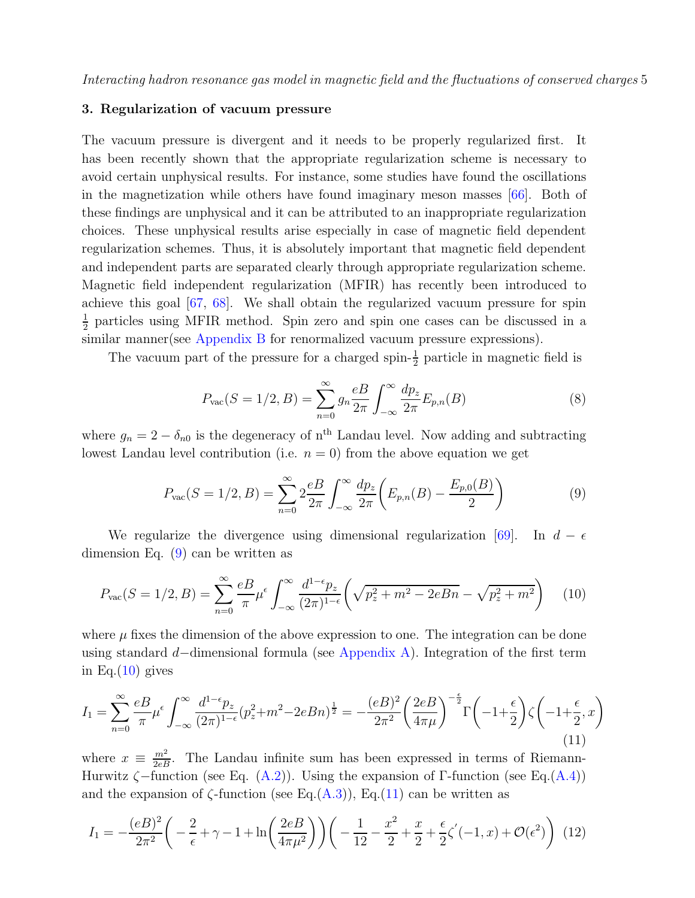#### 3. Regularization of vacuum pressure

The vacuum pressure is divergent and it needs to be properly regularized first. It has been recently shown that the appropriate regularization scheme is necessary to avoid certain unphysical results. For instance, some studies have found the oscillations in the magnetization while others have found imaginary meson masses [66]. Both of these findings are unphysical and it can be attributed to an inappropriate regularization choices. These unphysical results arise especially in case of magnetic field dependent regularization schemes. Thus, it is absolutely important that magnetic field dependent and independent parts are separated clearly through appropriate regularization scheme. Magnetic field independent regularization (MFIR) has recently been introduced to achieve this goal [67, 68]. We shall obtain the regularized vacuum pressure for spin 1  $\frac{1}{2}$  particles using MFIR method. Spin zero and spin one cases can be discussed in a similar manner(see Appendix B for renormalized vacuum pressure expressions).

The vacuum part of the pressure for a charged spin- $\frac{1}{2}$  particle in magnetic field is

$$
P_{\text{vac}}(S=1/2,B) = \sum_{n=0}^{\infty} g_n \frac{e}{2\pi} \int_{-\infty}^{\infty} \frac{dp_z}{2\pi} E_{p,n}(B)
$$
(8)

where  $g_n = 2 - \delta_{n0}$  is the degeneracy of n<sup>th</sup> Landau level. Now adding and subtracting lowest Landau level contribution (i.e.  $n = 0$ ) from the above equation we get

$$
P_{\text{vac}}(S=1/2,B) = \sum_{n=0}^{\infty} 2\frac{e}{2\pi i} \int_{-\infty}^{\infty} \frac{dp_z}{2\pi} \left( E_{p,n}(B) - \frac{E_{p,0}(B)}{2} \right)
$$
(9)

We regularize the divergence using dimensional regularization [69]. In  $d - \epsilon$ dimension Eq.  $(9)$  can be written as

$$
P_{\text{vac}}(S=1/2,B) = \sum_{n=0}^{\infty} \frac{eB}{\pi} \mu^{\epsilon} \int_{-\infty}^{\infty} \frac{d^{1-\epsilon}p_z}{(2\pi)^{1-\epsilon}} \left( \sqrt{p_z^2 + m^2 - 2eBn} - \sqrt{p_z^2 + m^2} \right) \tag{10}
$$

where  $\mu$  fixes the dimension of the above expression to one. The integration can be done using standard d−dimensional formula (see Appendix A). Integration of the first term in Eq. $(10)$  gives

$$
I_1 = \sum_{n=0}^{\infty} \frac{e}{\pi} \mu^{\epsilon} \int_{-\infty}^{\infty} \frac{d^{1-\epsilon}p_z}{(2\pi)^{1-\epsilon}} (p_z^2 + m^2 - 2eBn)^{\frac{1}{2}} = -\frac{(eB)^2}{2\pi^2} \left(\frac{2eB}{4\pi\mu}\right)^{-\frac{\epsilon}{2}} \Gamma\left(-1 + \frac{\epsilon}{2}\right) \zeta\left(-1 + \frac{\epsilon}{2}, x\right)
$$
\n(11)

where  $x \equiv \frac{m^2}{2eB}$ . The Landau infinite sum has been expressed in terms of Riemann-Hurwitz  $\zeta$ –function (see Eq. (A.2)). Using the expansion of Γ-function (see Eq. (A.4)) and the expansion of  $\zeta$ -function (see Eq.(A.3)), Eq.(11) can be written as

$$
I_1 = -\frac{(eB)^2}{2\pi^2} \left( -\frac{2}{\epsilon} + \gamma - 1 + \ln\left(\frac{2eB}{4\pi\mu^2}\right) \right) \left( -\frac{1}{12} - \frac{x^2}{2} + \frac{x}{2} + \frac{\epsilon}{2}\zeta'(-1, x) + \mathcal{O}(\epsilon^2) \right) (12)
$$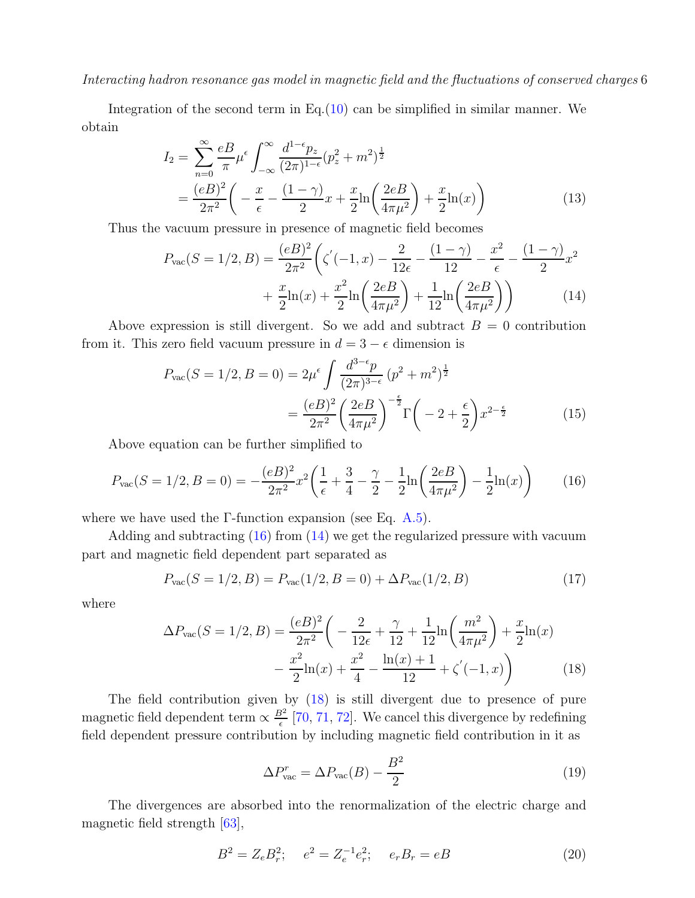Integration of the second term in  $Eq.(10)$  can be simplified in similar manner. We obtain

$$
I_2 = \sum_{n=0}^{\infty} \frac{eB}{\pi} \mu^{\epsilon} \int_{-\infty}^{\infty} \frac{d^{1-\epsilon} p_z}{(2\pi)^{1-\epsilon}} (p_z^2 + m^2)^{\frac{1}{2}}
$$
  
= 
$$
\frac{(eB)^2}{2\pi^2} \left( -\frac{x}{\epsilon} - \frac{(1-\gamma)}{2}x + \frac{x}{2} \ln\left(\frac{2eB}{4\pi\mu^2}\right) + \frac{x}{2} \ln(x) \right)
$$
(13)

Thus the vacuum pressure in presence of magnetic field becomes

$$
P_{\text{vac}}(S=1/2,B) = \frac{(eB)^2}{2\pi^2} \left( \zeta'(-1,x) - \frac{2}{12\epsilon} - \frac{(1-\gamma)}{12} - \frac{x^2}{\epsilon} - \frac{(1-\gamma)}{2}x^2 + \frac{x}{2}\ln(x) + \frac{x^2}{2}\ln\left(\frac{2eB}{4\pi\mu^2}\right) + \frac{1}{12}\ln\left(\frac{2eB}{4\pi\mu^2}\right) \right)
$$
(14)

Above expression is still divergent. So we add and subtract  $B = 0$  contribution from it. This zero field vacuum pressure in  $d = 3 - \epsilon$  dimension is

$$
P_{\text{vac}}(S=1/2, B=0) = 2\mu^{\epsilon} \int \frac{d^{3-\epsilon}p}{(2\pi)^{3-\epsilon}} (p^2 + m^2)^{\frac{1}{2}}
$$

$$
= \frac{(eB)^2}{2\pi^2} \left(\frac{2eB}{4\pi\mu^2}\right)^{-\frac{\epsilon}{2}} \Gamma\left(-2 + \frac{\epsilon}{2}\right) x^{2-\frac{\epsilon}{2}} \tag{15}
$$

Above equation can be further simplified to

$$
P_{\text{vac}}(S=1/2, B=0) = -\frac{(eB)^2}{2\pi^2}x^2\left(\frac{1}{\epsilon} + \frac{3}{4} - \frac{\gamma}{2} - \frac{1}{2}\ln\left(\frac{2eB}{4\pi\mu^2}\right) - \frac{1}{2}\ln(x)\right) \tag{16}
$$

where we have used the  $\Gamma$ -function expansion (see Eq. A.5).

Adding and subtracting (16) from (14) we get the regularized pressure with vacuum part and magnetic field dependent part separated as

$$
P_{\text{vac}}(S=1/2,B) = P_{\text{vac}}(1/2,B=0) + \Delta P_{\text{vac}}(1/2,B)
$$
\n(17)

where

$$
\Delta P_{\text{vac}}(S=1/2,B) = \frac{(eB)^2}{2\pi^2} \left( -\frac{2}{12\epsilon} + \frac{\gamma}{12} + \frac{1}{12} \ln\left(\frac{m^2}{4\pi\mu^2}\right) + \frac{x}{2} \ln(x) - \frac{x^2}{2} \ln(x) + \frac{x^2}{4} - \frac{\ln(x) + 1}{12} + \zeta'(-1,x) \right) \tag{18}
$$

The field contribution given by (18) is still divergent due to presence of pure magnetic field dependent term  $\propto \frac{B^2}{\epsilon}$  $\frac{3^2}{6}$  [70, 71, 72]. We cancel this divergence by redefining field dependent pressure contribution by including magnetic field contribution in it as

$$
\Delta P_{\text{vac}}^r = \Delta P_{\text{vac}}(B) - \frac{B^2}{2} \tag{19}
$$

The divergences are absorbed into the renormalization of the electric charge and magnetic field strength [63],

$$
B^2 = Z_e B_r^2; \quad e^2 = Z_e^{-1} e_r^2; \quad e_r B_r = eB \tag{20}
$$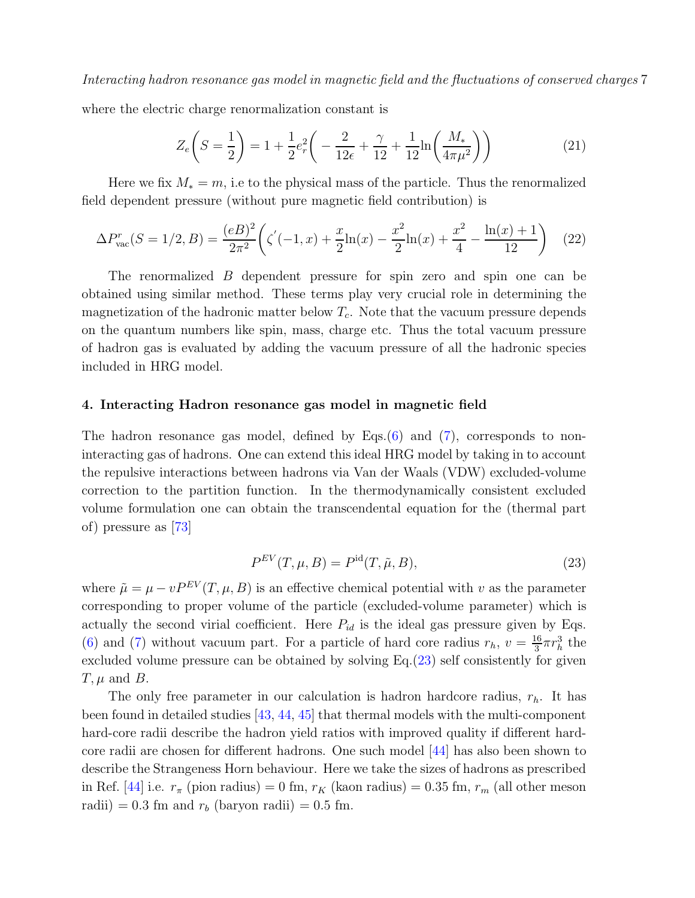where the electric charge renormalization constant is

$$
Z_e\left(S = \frac{1}{2}\right) = 1 + \frac{1}{2}e_r^2\left(-\frac{2}{12\epsilon} + \frac{\gamma}{12} + \frac{1}{12}\ln\left(\frac{M_*}{4\pi\mu^2}\right)\right)
$$
(21)

Here we fix  $M_* = m$ , i.e to the physical mass of the particle. Thus the renormalized field dependent pressure (without pure magnetic field contribution) is

$$
\Delta P_{\text{vac}}^r(S=1/2,B) = \frac{(eB)^2}{2\pi^2} \left( \zeta'(-1,x) + \frac{x}{2}\ln(x) - \frac{x^2}{2}\ln(x) + \frac{x^2}{4} - \frac{\ln(x)+1}{12} \right) \tag{22}
$$

The renormalized B dependent pressure for spin zero and spin one can be obtained using similar method. These terms play very crucial role in determining the magnetization of the hadronic matter below  $T_c$ . Note that the vacuum pressure depends on the quantum numbers like spin, mass, charge etc. Thus the total vacuum pressure of hadron gas is evaluated by adding the vacuum pressure of all the hadronic species included in HRG model.

#### 4. Interacting Hadron resonance gas model in magnetic field

The hadron resonance gas model, defined by Eqs. $(6)$  and  $(7)$ , corresponds to noninteracting gas of hadrons. One can extend this ideal HRG model by taking in to account the repulsive interactions between hadrons via Van der Waals (VDW) excluded-volume correction to the partition function. In the thermodynamically consistent excluded volume formulation one can obtain the transcendental equation for the (thermal part of) pressure as [73]

$$
P^{EV}(T,\mu,B) = P^{\text{id}}(T,\tilde{\mu},B),\tag{23}
$$

where  $\tilde{\mu} = \mu - vP^{EV}(T, \mu, B)$  is an effective chemical potential with v as the parameter corresponding to proper volume of the particle (excluded-volume parameter) which is actually the second virial coefficient. Here  $P_{id}$  is the ideal gas pressure given by Eqs. (6) and (7) without vacuum part. For a particle of hard core radius  $r_h$ ,  $v = \frac{16}{3}$  $\frac{16}{3}\pi r_h^3$  the excluded volume pressure can be obtained by solving Eq.(23) self consistently for given  $T, \mu$  and  $B$ .

The only free parameter in our calculation is hadron hardcore radius,  $r_h$ . It has been found in detailed studies [43, 44, 45] that thermal models with the multi-component hard-core radii describe the hadron yield ratios with improved quality if different hardcore radii are chosen for different hadrons. One such model [44] has also been shown to describe the Strangeness Horn behaviour. Here we take the sizes of hadrons as prescribed in Ref. [44] i.e.  $r_{\pi}$  (pion radius) = 0 fm,  $r_K$  (kaon radius) = 0.35 fm,  $r_m$  (all other meson radii) = 0.3 fm and  $r_b$  (baryon radii) = 0.5 fm.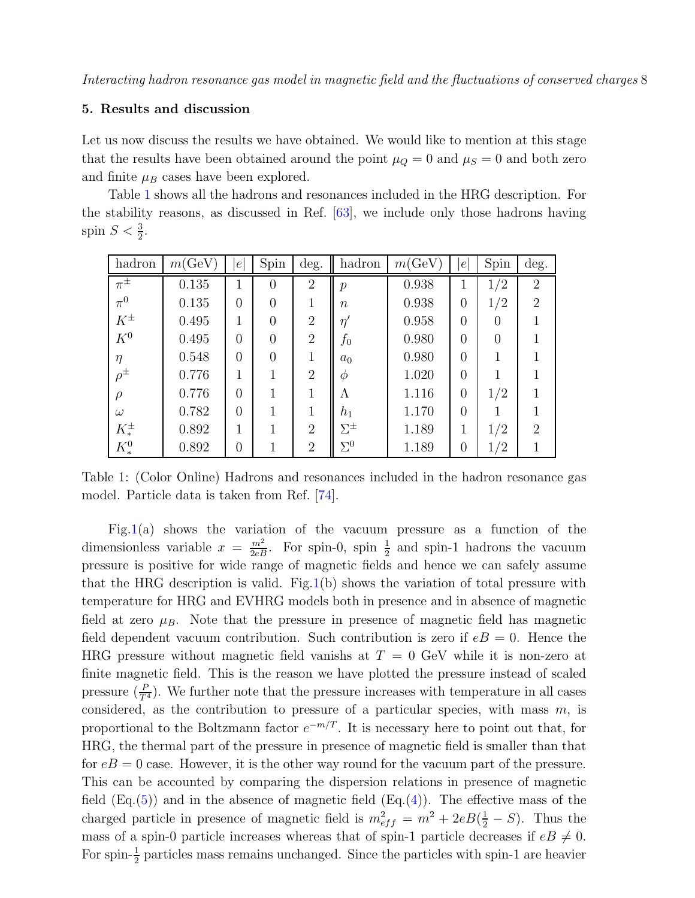#### 5. Results and discussion

Let us now discuss the results we have obtained. We would like to mention at this stage that the results have been obtained around the point  $\mu_Q = 0$  and  $\mu_S = 0$  and both zero and finite  $\mu_B$  cases have been explored.

Table 1 shows all the hadrons and resonances included in the HRG description. For the stability reasons, as discussed in Ref. [63], we include only those hadrons having spin  $S < \frac{3}{2}$ .

| hadron        | m(GeV) | $\epsilon$     | Spin           | deg.           | hadron           | m(GeV) | e              | Spin     | deg.           |
|---------------|--------|----------------|----------------|----------------|------------------|--------|----------------|----------|----------------|
| $\pi^{\pm}$   | 0.135  | 1              | $\Omega$       | $\overline{2}$ | $\mathcal{p}$    | 0.938  | 1              | 1/2      | $\overline{2}$ |
| $\pi^0$       | 0.135  | $\overline{0}$ | $\overline{0}$ | 1              | $\boldsymbol{n}$ | 0.938  | $\overline{0}$ | 1/2      | $\overline{2}$ |
| $K^{\pm}$     | 0.495  | 1              | $\overline{0}$ | $\overline{2}$ | $\eta'$          | 0.958  | $\overline{0}$ | $\theta$ | 1              |
| $K^0$         | 0.495  | $\overline{0}$ | $\overline{0}$ | $\overline{2}$ | $f_0$            | 0.980  | $\overline{0}$ | $\Omega$ | 1              |
| $\eta$        | 0.548  | $\overline{0}$ | $\theta$       | $\mathbf 1$    | $a_0$            | 0.980  | $\theta$       |          |                |
| $\rho^{\pm}$  | 0.776  | 1              | 1              | $\overline{2}$ | $\varphi$        | 1.020  | $\overline{0}$ |          |                |
| $\rho$        | 0.776  | $\overline{0}$ | 1              | $\mathbf 1$    | Λ                | 1.116  | $\overline{0}$ | 1/2      | 1              |
| $\omega$      | 0.782  | $\overline{0}$ | 1              | $\mathbf 1$    | $h_1$            | 1.170  | $\overline{0}$ |          | 1              |
| $K^{\pm}_{*}$ | 0.892  | 1              | 1              | $\overline{2}$ | $\Sigma^{\pm}$   | 1.189  | 1              | 1/2      | $\overline{2}$ |
| $K^0_*$       | 0.892  | 0              | 1              | $\overline{2}$ | $\Sigma^0$       | 1.189  | $\overline{0}$ | 1/2      | 1              |

Table 1: (Color Online) Hadrons and resonances included in the hadron resonance gas model. Particle data is taken from Ref. [74].

Fig.1(a) shows the variation of the vacuum pressure as a function of the dimensionless variable  $x = \frac{m^2}{2eB}$ . For spin-0, spin  $\frac{1}{2}$  and spin-1 hadrons the vacuum pressure is positive for wide range of magnetic fields and hence we can safely assume that the HRG description is valid. Fig.1(b) shows the variation of total pressure with temperature for HRG and EVHRG models both in presence and in absence of magnetic field at zero  $\mu_B$ . Note that the pressure in presence of magnetic field has magnetic field dependent vacuum contribution. Such contribution is zero if  $eB = 0$ . Hence the HRG pressure without magnetic field vanishs at  $T = 0$  GeV while it is non-zero at finite magnetic field. This is the reason we have plotted the pressure instead of scaled pressure  $(\frac{P}{T^4})$ . We further note that the pressure increases with temperature in all cases considered, as the contribution to pressure of a particular species, with mass  $m$ , is proportional to the Boltzmann factor  $e^{-m/T}$ . It is necessary here to point out that, for HRG, the thermal part of the pressure in presence of magnetic field is smaller than that for  $eB = 0$  case. However, it is the other way round for the vacuum part of the pressure. This can be accounted by comparing the dispersion relations in presence of magnetic field  $(Eq.5)$  and in the absence of magnetic field  $(Eq.4)$ . The effective mass of the charged particle in presence of magnetic field is  $m_{eff}^2 = m^2 + 2eB(\frac{1}{2} - S)$ . Thus the mass of a spin-0 particle increases whereas that of spin-1 particle decreases if  $eB \neq 0$ . For spin- $\frac{1}{2}$  particles mass remains unchanged. Since the particles with spin-1 are heavier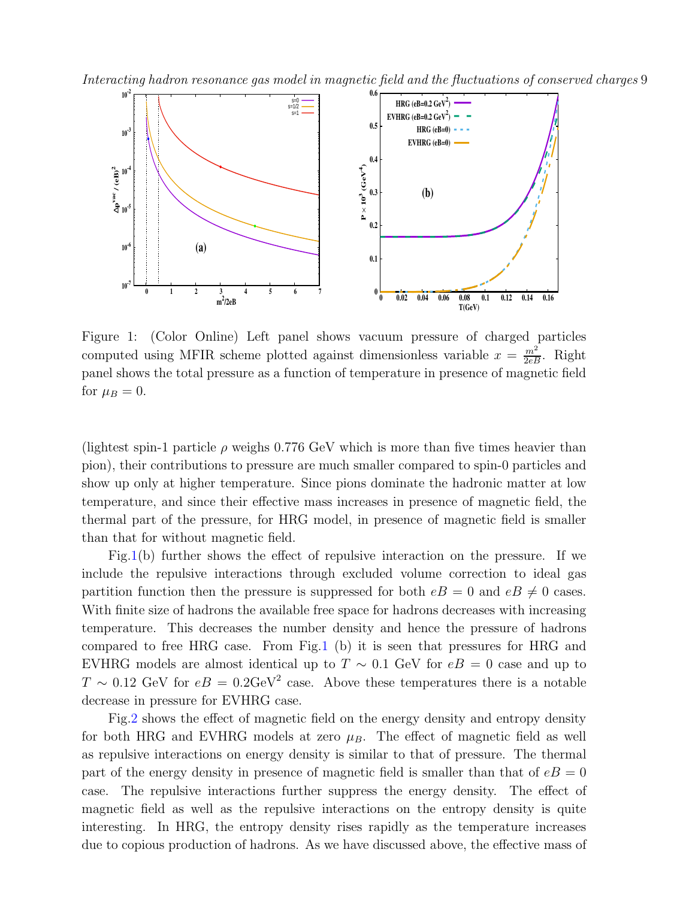Interacting hadron resonance gas model in magnetic field and the fluctuations of conserved charges 9



Figure 1: (Color Online) Left panel shows vacuum pressure of charged particles computed using MFIR scheme plotted against dimensionless variable  $x = \frac{m^2}{2eB}$ . Right panel shows the total pressure as a function of temperature in presence of magnetic field for  $\mu_B = 0$ .

(lightest spin-1 particle  $\rho$  weighs 0.776 GeV which is more than five times heavier than pion), their contributions to pressure are much smaller compared to spin-0 particles and show up only at higher temperature. Since pions dominate the hadronic matter at low temperature, and since their effective mass increases in presence of magnetic field, the thermal part of the pressure, for HRG model, in presence of magnetic field is smaller than that for without magnetic field.

Fig.1(b) further shows the effect of repulsive interaction on the pressure. If we include the repulsive interactions through excluded volume correction to ideal gas partition function then the pressure is suppressed for both  $eB = 0$  and  $eB \neq 0$  cases. With finite size of hadrons the available free space for hadrons decreases with increasing temperature. This decreases the number density and hence the pressure of hadrons compared to free HRG case. From Fig.1 (b) it is seen that pressures for HRG and EVHRG models are almost identical up to  $T \sim 0.1$  GeV for  $eB = 0$  case and up to  $T \sim 0.12$  GeV for  $eB = 0.2 \text{GeV}^2$  case. Above these temperatures there is a notable decrease in pressure for EVHRG case.

Fig.2 shows the effect of magnetic field on the energy density and entropy density for both HRG and EVHRG models at zero  $\mu_B$ . The effect of magnetic field as well as repulsive interactions on energy density is similar to that of pressure. The thermal part of the energy density in presence of magnetic field is smaller than that of  $eB = 0$ case. The repulsive interactions further suppress the energy density. The effect of magnetic field as well as the repulsive interactions on the entropy density is quite interesting. In HRG, the entropy density rises rapidly as the temperature increases due to copious production of hadrons. As we have discussed above, the effective mass of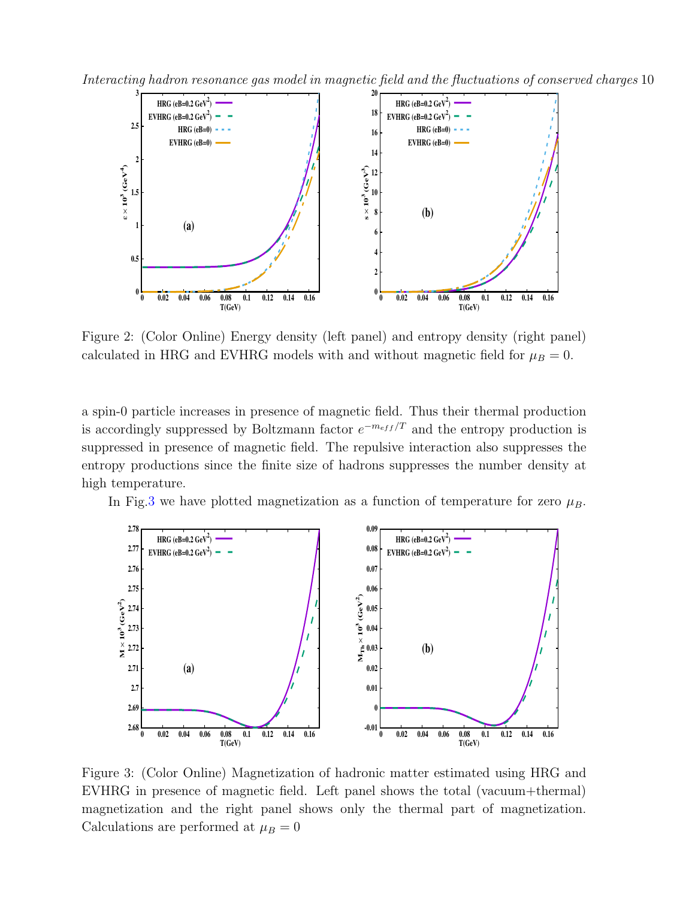Interacting hadron resonance gas model in magnetic field and the fluctuations of conserved charges 10



Figure 2: (Color Online) Energy density (left panel) and entropy density (right panel) calculated in HRG and EVHRG models with and without magnetic field for  $\mu_B = 0$ .

a spin-0 particle increases in presence of magnetic field. Thus their thermal production is accordingly suppressed by Boltzmann factor  $e^{-m_{eff}/T}$  and the entropy production is suppressed in presence of magnetic field. The repulsive interaction also suppresses the entropy productions since the finite size of hadrons suppresses the number density at high temperature.

In Fig.3 we have plotted magnetization as a function of temperature for zero  $\mu_B$ .



Figure 3: (Color Online) Magnetization of hadronic matter estimated using HRG and EVHRG in presence of magnetic field. Left panel shows the total (vacuum+thermal) magnetization and the right panel shows only the thermal part of magnetization. Calculations are performed at  $\mu_B = 0$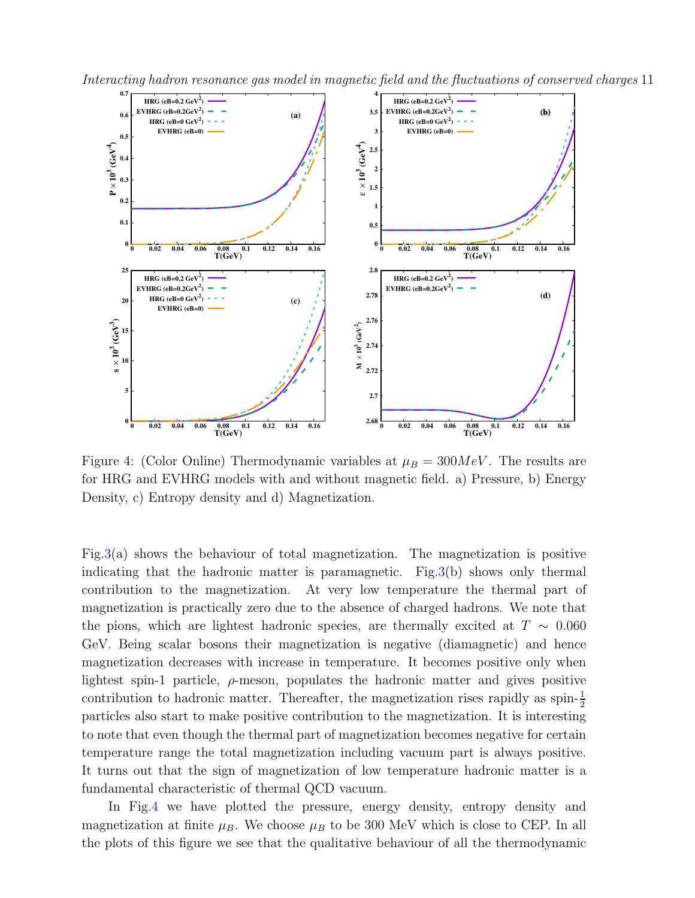



Figure 4: (Color Online) Thermodynamic variables at  $\mu_B = 300MeV$ . The results are for HRG and EVHRG models with and without magnetic field. a) Pressure, b) Energy Density, c) Entropy density and d) Magnetization.

Fig.3(a) shows the behaviour of total magnetization. The magnetization is positive indicating that the hadronic matter is paramagnetic. Fig.3(b) shows only thermal contribution to the magnetization. At very low temperature the thermal part of magnetization is practically zero due to the absence of charged hadrons. We note that the pions, which are lightest hadronic species, are thermally excited at  $T \sim 0.060$ GeV. Being scalar bosons their magnetization is negative (diamagnetic) and hence magnetization decreases with increase in temperature. It becomes positive only when lightest spin-1 particle,  $\rho$ -meson, populates the hadronic matter and gives positive contribution to hadronic matter. Thereafter, the magnetization rises rapidly as  $\text{spin-}\frac{1}{2}$ particles also start to make positive contribution to the magnetization. It is interesting to note that even though the thermal part of magnetization becomes negative for certain temperature range the total magnetization including vacuum part is always positive. It turns out that the sign of magnetization of low temperature hadronic matter is a fundamental characteristic of thermal QCD vacuum.

In Fig.4 we have plotted the pressure, energy density, entropy density and magnetization at finite  $\mu_B$ . We choose  $\mu_B$  to be 300 MeV which is close to CEP. In all the plots of this figure we see that the qualitative behaviour of all the thermodynamic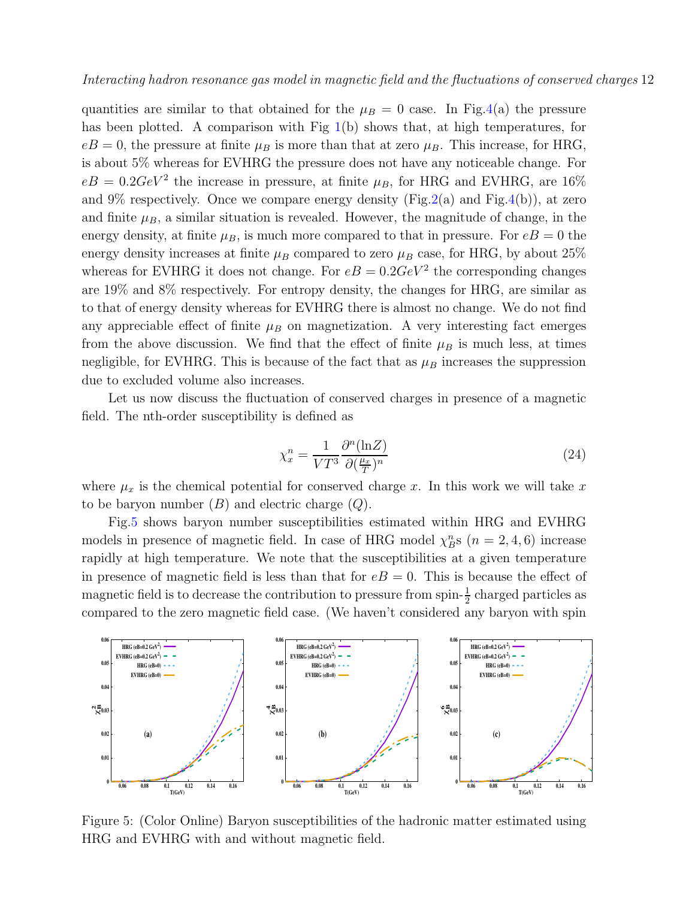quantities are similar to that obtained for the  $\mu_B = 0$  case. In Fig.4(a) the pressure has been plotted. A comparison with Fig 1(b) shows that, at high temperatures, for  $eB = 0$ , the pressure at finite  $\mu_B$  is more than that at zero  $\mu_B$ . This increase, for HRG, is about 5% whereas for EVHRG the pressure does not have any noticeable change. For  $eB = 0.2 GeV^2$  the increase in pressure, at finite  $\mu_B$ , for HRG and EVHRG, are 16% and 9% respectively. Once we compare energy density (Fig.2(a) and Fig.4(b)), at zero and finite  $\mu_B$ , a similar situation is revealed. However, the magnitude of change, in the energy density, at finite  $\mu_B$ , is much more compared to that in pressure. For  $eB = 0$  the energy density increases at finite  $\mu_B$  compared to zero  $\mu_B$  case, for HRG, by about 25% whereas for EVHRG it does not change. For  $eB = 0.2 GeV^2$  the corresponding changes are 19% and 8% respectively. For entropy density, the changes for HRG, are similar as to that of energy density whereas for EVHRG there is almost no change. We do not find any appreciable effect of finite  $\mu_B$  on magnetization. A very interesting fact emerges from the above discussion. We find that the effect of finite  $\mu_B$  is much less, at times negligible, for EVHRG. This is because of the fact that as  $\mu_B$  increases the suppression due to excluded volume also increases.

Let us now discuss the fluctuation of conserved charges in presence of a magnetic field. The nth-order susceptibility is defined as

$$
\chi_x^n = \frac{1}{VT^3} \frac{\partial^n(\ln Z)}{\partial(\frac{\mu_x}{T})^n}
$$
\n(24)

where  $\mu_x$  is the chemical potential for conserved charge x. In this work we will take x to be baryon number  $(B)$  and electric charge  $(Q)$ .

Fig.5 shows baryon number susceptibilities estimated within HRG and EVHRG models in presence of magnetic field. In case of HRG model  $\chi_B^n$ s  $(n = 2, 4, 6)$  increase rapidly at high temperature. We note that the susceptibilities at a given temperature in presence of magnetic field is less than that for  $eB = 0$ . This is because the effect of magnetic field is to decrease the contribution to pressure from spin- $\frac{1}{2}$  $\frac{1}{2}$  charged particles as compared to the zero magnetic field case. (We haven't considered any baryon with spin



Figure 5: (Color Online) Baryon susceptibilities of the hadronic matter estimated using HRG and EVHRG with and without magnetic field.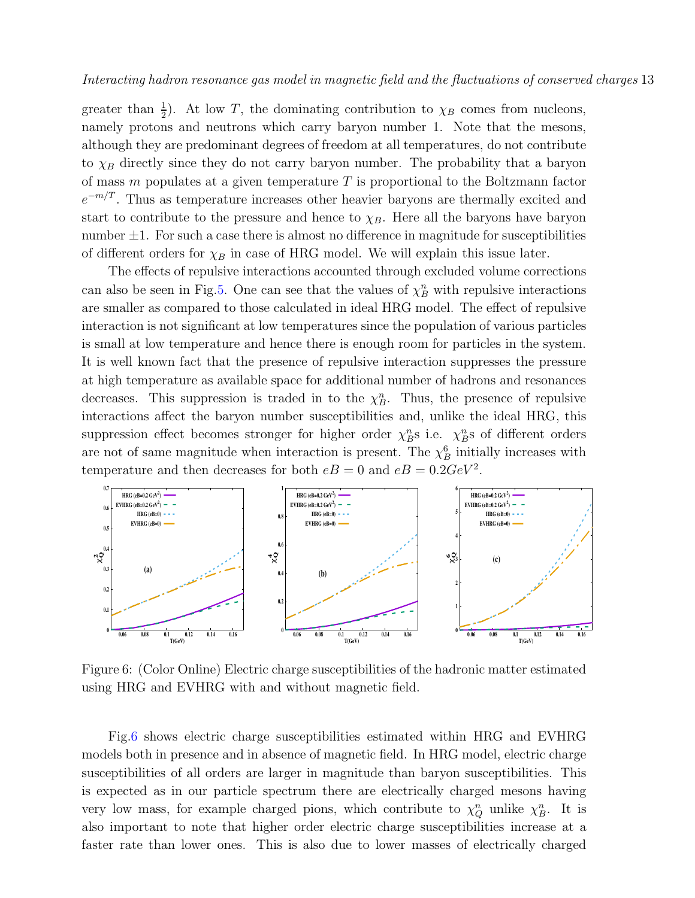greater than  $\frac{1}{2}$ ). At low T, the dominating contribution to  $\chi_B$  comes from nucleons, namely protons and neutrons which carry baryon number 1. Note that the mesons, although they are predominant degrees of freedom at all temperatures, do not contribute to  $\chi_B$  directly since they do not carry baryon number. The probability that a baryon of mass  $m$  populates at a given temperature  $T$  is proportional to the Boltzmann factor  $e^{-m/T}$ . Thus as temperature increases other heavier baryons are thermally excited and start to contribute to the pressure and hence to  $\chi_B$ . Here all the baryons have baryon number  $\pm 1$ . For such a case there is almost no difference in magnitude for susceptibilities of different orders for  $\chi_B$  in case of HRG model. We will explain this issue later.

The effects of repulsive interactions accounted through excluded volume corrections can also be seen in Fig.5. One can see that the values of  $\chi_B^n$  with repulsive interactions are smaller as compared to those calculated in ideal HRG model. The effect of repulsive interaction is not significant at low temperatures since the population of various particles is small at low temperature and hence there is enough room for particles in the system. It is well known fact that the presence of repulsive interaction suppresses the pressure at high temperature as available space for additional number of hadrons and resonances decreases. This suppression is traded in to the  $\chi_B^n$ . Thus, the presence of repulsive interactions affect the baryon number susceptibilities and, unlike the ideal HRG, this suppression effect becomes stronger for higher order  $\chi_B^n$ s i.e.  $\chi_B^n$ s of different orders are not of same magnitude when interaction is present. The  $\chi_B^6$  initially increases with temperature and then decreases for both  $eB = 0$  and  $eB = 0.2 GeV^2$ .



Figure 6: (Color Online) Electric charge susceptibilities of the hadronic matter estimated using HRG and EVHRG with and without magnetic field.

Fig.6 shows electric charge susceptibilities estimated within HRG and EVHRG models both in presence and in absence of magnetic field. In HRG model, electric charge susceptibilities of all orders are larger in magnitude than baryon susceptibilities. This is expected as in our particle spectrum there are electrically charged mesons having very low mass, for example charged pions, which contribute to  $\chi_Q^n$  unlike  $\chi_B^n$ . It is also important to note that higher order electric charge susceptibilities increase at a faster rate than lower ones. This is also due to lower masses of electrically charged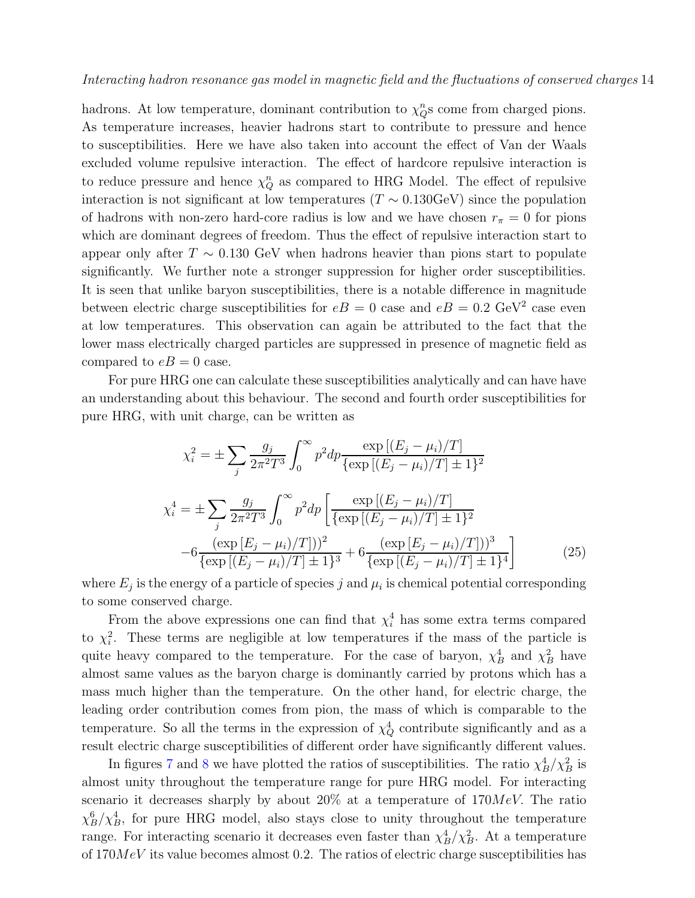hadrons. At low temperature, dominant contribution to  $\chi_Q^n$  come from charged pions. As temperature increases, heavier hadrons start to contribute to pressure and hence to susceptibilities. Here we have also taken into account the effect of Van der Waals excluded volume repulsive interaction. The effect of hardcore repulsive interaction is to reduce pressure and hence  $\chi_Q^n$  as compared to HRG Model. The effect of repulsive interaction is not significant at low temperatures ( $T \sim 0.130 \text{GeV}$ ) since the population of hadrons with non-zero hard-core radius is low and we have chosen  $r_{\pi} = 0$  for pions which are dominant degrees of freedom. Thus the effect of repulsive interaction start to appear only after  $T \sim 0.130 \text{ GeV}$  when hadrons heavier than pions start to populate significantly. We further note a stronger suppression for higher order susceptibilities. It is seen that unlike baryon susceptibilities, there is a notable difference in magnitude between electric charge susceptibilities for  $eB = 0$  case and  $eB = 0.2$  GeV<sup>2</sup> case even at low temperatures. This observation can again be attributed to the fact that the lower mass electrically charged particles are suppressed in presence of magnetic field as compared to  $eB = 0$  case.

For pure HRG one can calculate these susceptibilities analytically and can have have an understanding about this behaviour. The second and fourth order susceptibilities for pure HRG, with unit charge, can be written as

$$
\chi_i^2 = \pm \sum_j \frac{g_j}{2\pi^2 T^3} \int_0^\infty p^2 dp \frac{\exp\left[(E_j - \mu_i)/T\right]}{\{\exp\left[(E_j - \mu_i)/T\right] \pm 1\}^2}
$$

$$
\chi_i^4 = \pm \sum_j \frac{g_j}{2\pi^2 T^3} \int_0^\infty p^2 dp \left[\frac{\exp\left[(E_j - \mu_i)/T\right]}{\{\exp\left[(E_j - \mu_i)/T\right] \pm 1\}^2}\right]
$$

$$
-6 \frac{(\exp\left[E_j - \mu_i)/T\right])^2}{\{\exp\left[(E_j - \mu_i)/T\right] \pm 1\}^3} + 6 \frac{(\exp\left[E_j - \mu_i)/T\right])^3}{\{\exp\left[(E_j - \mu_i)/T\right] \pm 1\}^4}
$$
(25)

where  $E_j$  is the energy of a particle of species  $j$  and  $\mu_i$  is chemical potential corresponding to some conserved charge.

From the above expressions one can find that  $\chi_i^4$  has some extra terms compared to  $\chi_i^2$ . These terms are negligible at low temperatures if the mass of the particle is quite heavy compared to the temperature. For the case of baryon,  $\chi_B^4$  and  $\chi_B^2$  have almost same values as the baryon charge is dominantly carried by protons which has a mass much higher than the temperature. On the other hand, for electric charge, the leading order contribution comes from pion, the mass of which is comparable to the temperature. So all the terms in the expression of  $\chi^4_Q$  contribute significantly and as a result electric charge susceptibilities of different order have significantly different values.

In figures 7 and 8 we have plotted the ratios of susceptibilities. The ratio  $\chi_B^4/\chi_B^2$  is almost unity throughout the temperature range for pure HRG model. For interacting scenario it decreases sharply by about 20% at a temperature of  $170MeV$ . The ratio  $\chi_B^6/\chi_B^4$ , for pure HRG model, also stays close to unity throughout the temperature range. For interacting scenario it decreases even faster than  $\chi_B^4/\chi_B^2$ . At a temperature of  $170MeV$  its value becomes almost 0.2. The ratios of electric charge susceptibilities has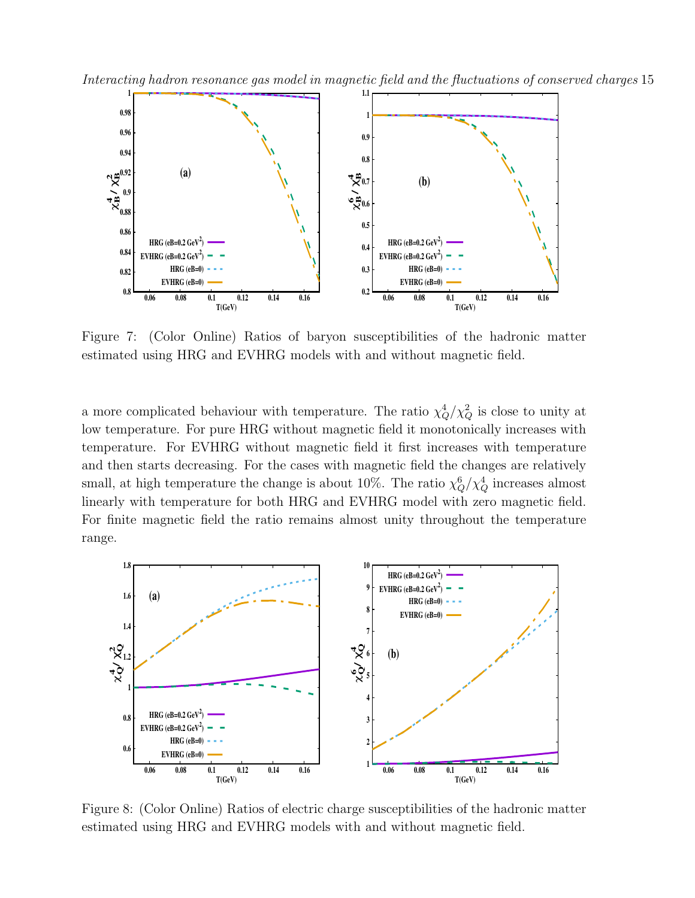Interacting hadron resonance gas model in magnetic field and the fluctuations of conserved charges 15



Figure 7: (Color Online) Ratios of baryon susceptibilities of the hadronic matter estimated using HRG and EVHRG models with and without magnetic field.

a more complicated behaviour with temperature. The ratio  $\chi^4_Q/\chi^2_Q$  is close to unity at low temperature. For pure HRG without magnetic field it monotonically increases with temperature. For EVHRG without magnetic field it first increases with temperature and then starts decreasing. For the cases with magnetic field the changes are relatively small, at high temperature the change is about 10%. The ratio  $\chi_Q^6/\chi_Q^4$  increases almost linearly with temperature for both HRG and EVHRG model with zero magnetic field. For finite magnetic field the ratio remains almost unity throughout the temperature range.



Figure 8: (Color Online) Ratios of electric charge susceptibilities of the hadronic matter estimated using HRG and EVHRG models with and without magnetic field.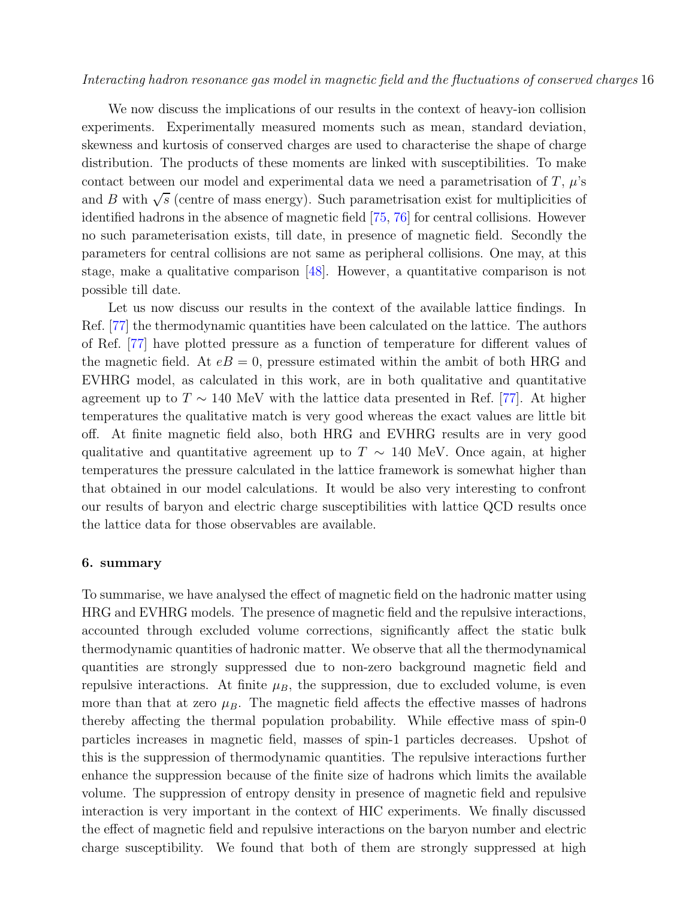We now discuss the implications of our results in the context of heavy-ion collision experiments. Experimentally measured moments such as mean, standard deviation, skewness and kurtosis of conserved charges are used to characterise the shape of charge distribution. The products of these moments are linked with susceptibilities. To make contact between our model and experimental data we need a parametrisation of  $T$ ,  $\mu$ 's and B with  $\sqrt{s}$  (centre of mass energy). Such parametrisation exist for multiplicities of identified hadrons in the absence of magnetic field [75, 76] for central collisions. However no such parameterisation exists, till date, in presence of magnetic field. Secondly the parameters for central collisions are not same as peripheral collisions. One may, at this stage, make a qualitative comparison [48]. However, a quantitative comparison is not possible till date.

Let us now discuss our results in the context of the available lattice findings. In Ref. [77] the thermodynamic quantities have been calculated on the lattice. The authors of Ref. [77] have plotted pressure as a function of temperature for different values of the magnetic field. At  $eB = 0$ , pressure estimated within the ambit of both HRG and EVHRG model, as calculated in this work, are in both qualitative and quantitative agreement up to  $T \sim 140$  MeV with the lattice data presented in Ref. [77]. At higher temperatures the qualitative match is very good whereas the exact values are little bit off. At finite magnetic field also, both HRG and EVHRG results are in very good qualitative and quantitative agreement up to  $T \sim 140$  MeV. Once again, at higher temperatures the pressure calculated in the lattice framework is somewhat higher than that obtained in our model calculations. It would be also very interesting to confront our results of baryon and electric charge susceptibilities with lattice QCD results once the lattice data for those observables are available.

#### 6. summary

To summarise, we have analysed the effect of magnetic field on the hadronic matter using HRG and EVHRG models. The presence of magnetic field and the repulsive interactions, accounted through excluded volume corrections, significantly affect the static bulk thermodynamic quantities of hadronic matter. We observe that all the thermodynamical quantities are strongly suppressed due to non-zero background magnetic field and repulsive interactions. At finite  $\mu_B$ , the suppression, due to excluded volume, is even more than that at zero  $\mu_B$ . The magnetic field affects the effective masses of hadrons thereby affecting the thermal population probability. While effective mass of spin-0 particles increases in magnetic field, masses of spin-1 particles decreases. Upshot of this is the suppression of thermodynamic quantities. The repulsive interactions further enhance the suppression because of the finite size of hadrons which limits the available volume. The suppression of entropy density in presence of magnetic field and repulsive interaction is very important in the context of HIC experiments. We finally discussed the effect of magnetic field and repulsive interactions on the baryon number and electric charge susceptibility. We found that both of them are strongly suppressed at high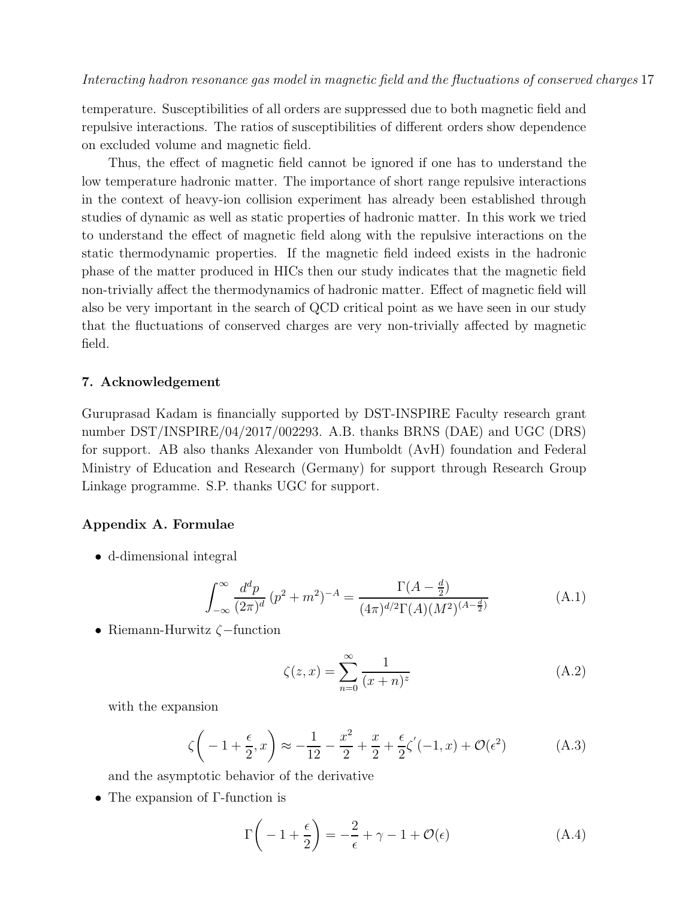temperature. Susceptibilities of all orders are suppressed due to both magnetic field and repulsive interactions. The ratios of susceptibilities of different orders show dependence on excluded volume and magnetic field.

Thus, the effect of magnetic field cannot be ignored if one has to understand the low temperature hadronic matter. The importance of short range repulsive interactions in the context of heavy-ion collision experiment has already been established through studies of dynamic as well as static properties of hadronic matter. In this work we tried to understand the effect of magnetic field along with the repulsive interactions on the static thermodynamic properties. If the magnetic field indeed exists in the hadronic phase of the matter produced in HICs then our study indicates that the magnetic field non-trivially affect the thermodynamics of hadronic matter. Effect of magnetic field will also be very important in the search of QCD critical point as we have seen in our study that the fluctuations of conserved charges are very non-trivially affected by magnetic field.

#### 7. Acknowledgement

Guruprasad Kadam is financially supported by DST-INSPIRE Faculty research grant number DST/INSPIRE/04/2017/002293. A.B. thanks BRNS (DAE) and UGC (DRS) for support. AB also thanks Alexander von Humboldt (AvH) foundation and Federal Ministry of Education and Research (Germany) for support through Research Group Linkage programme. S.P. thanks UGC for support.

#### Appendix A. Formulae

• d-dimensional integral

$$
\int_{-\infty}^{\infty} \frac{d^d p}{(2\pi)^d} (p^2 + m^2)^{-A} = \frac{\Gamma(A - \frac{d}{2})}{(4\pi)^{d/2} \Gamma(A)(M^2)^{(A - \frac{d}{2})}}
$$
(A.1)

• Riemann-Hurwitz ζ−function

$$
\zeta(z,x) = \sum_{n=0}^{\infty} \frac{1}{(x+n)^z} \tag{A.2}
$$

with the expansion

$$
\zeta \left( -1 + \frac{\epsilon}{2}, x \right) \approx -\frac{1}{12} - \frac{x^2}{2} + \frac{x}{2} + \frac{\epsilon}{2} \zeta'(-1, x) + \mathcal{O}(\epsilon^2) \tag{A.3}
$$

and the asymptotic behavior of the derivative

• The expansion of Γ-function is

$$
\Gamma\left(-1+\frac{\epsilon}{2}\right) = -\frac{2}{\epsilon} + \gamma - 1 + \mathcal{O}(\epsilon)
$$
 (A.4)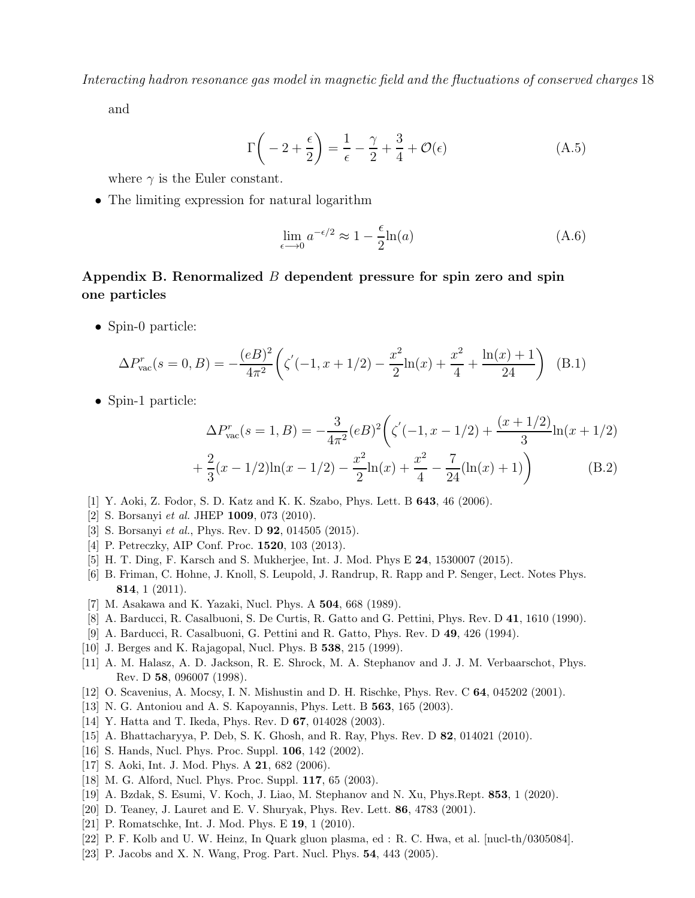and

$$
\Gamma\left(-2+\frac{\epsilon}{2}\right) = \frac{1}{\epsilon} - \frac{\gamma}{2} + \frac{3}{4} + \mathcal{O}(\epsilon)
$$
\n(A.5)

where  $\gamma$  is the Euler constant.

• The limiting expression for natural logarithm

$$
\lim_{\epsilon \to 0} a^{-\epsilon/2} \approx 1 - \frac{\epsilon}{2} \ln(a) \tag{A.6}
$$

### Appendix B. Renormalized  $B$  dependent pressure for spin zero and spin one particles

• Spin-0 particle:

$$
\Delta P_{\text{vac}}^r(s=0,B) = -\frac{(eB)^2}{4\pi^2} \left( \zeta'(-1,x+1/2) - \frac{x^2}{2}\ln(x) + \frac{x^2}{4} + \frac{\ln(x)+1}{24} \right) \tag{B.1}
$$

• Spin-1 particle:

$$
\Delta P_{\text{vac}}^r(s=1,B) = -\frac{3}{4\pi^2} (eB)^2 \left( \zeta'(-1,x-1/2) + \frac{(x+1/2)}{3} \ln(x+1/2) + \frac{2}{3} (x-1/2) \ln(x-1/2) - \frac{x^2}{2} \ln(x) + \frac{x^2}{4} - \frac{7}{24} (\ln(x)+1) \right)
$$
(B.2)

- [1] Y. Aoki, Z. Fodor, S. D. Katz and K. K. Szabo, Phys. Lett. B 643, 46 (2006).
- [2] S. Borsanyi et al. JHEP **1009**, 073 (2010).
- [3] S. Borsanyi et al., Phys. Rev. D **92**, 014505 (2015).
- [4] P. Petreczky, AIP Conf. Proc. **1520**, 103 (2013).
- [5] H. T. Ding, F. Karsch and S. Mukherjee, Int. J. Mod. Phys E 24, 1530007 (2015).
- [6] B. Friman, C. Hohne, J. Knoll, S. Leupold, J. Randrup, R. Rapp and P. Senger, Lect. Notes Phys. 814, 1 (2011).
- [7] M. Asakawa and K. Yazaki, Nucl. Phys. A 504, 668 (1989).
- [8] A. Barducci, R. Casalbuoni, S. De Curtis, R. Gatto and G. Pettini, Phys. Rev. D 41, 1610 (1990).
- [9] A. Barducci, R. Casalbuoni, G. Pettini and R. Gatto, Phys. Rev. D 49, 426 (1994).
- [10] J. Berges and K. Rajagopal, Nucl. Phys. B **538**, 215 (1999).
- [11] A. M. Halasz, A. D. Jackson, R. E. Shrock, M. A. Stephanov and J. J. M. Verbaarschot, Phys. Rev. D 58, 096007 (1998).
- [12] O. Scavenius, A. Mocsy, I. N. Mishustin and D. H. Rischke, Phys. Rev. C 64, 045202 (2001).
- [13] N. G. Antoniou and A. S. Kapoyannis, Phys. Lett. B 563, 165 (2003).
- [14] Y. Hatta and T. Ikeda, Phys. Rev. D 67, 014028 (2003).
- [15] A. Bhattacharyya, P. Deb, S. K. Ghosh, and R. Ray, Phys. Rev. D 82, 014021 (2010).
- [16] S. Hands, Nucl. Phys. Proc. Suppl. **106**, 142 (2002).
- [17] S. Aoki, Int. J. Mod. Phys. A **21**, 682 (2006).
- [18] M. G. Alford, Nucl. Phys. Proc. Suppl. 117, 65 (2003).
- [19] A. Bzdak, S. Esumi, V. Koch, J. Liao, M. Stephanov and N. Xu, Phys.Rept. 853, 1 (2020).
- [20] D. Teaney, J. Lauret and E. V. Shuryak, Phys. Rev. Lett. 86, 4783 (2001).
- [21] P. Romatschke, Int. J. Mod. Phys. E 19, 1 (2010).
- [22] P. F. Kolb and U. W. Heinz, In Quark gluon plasma, ed : R. C. Hwa, et al. [nucl-th/0305084].
- [23] P. Jacobs and X. N. Wang, Prog. Part. Nucl. Phys. 54, 443 (2005).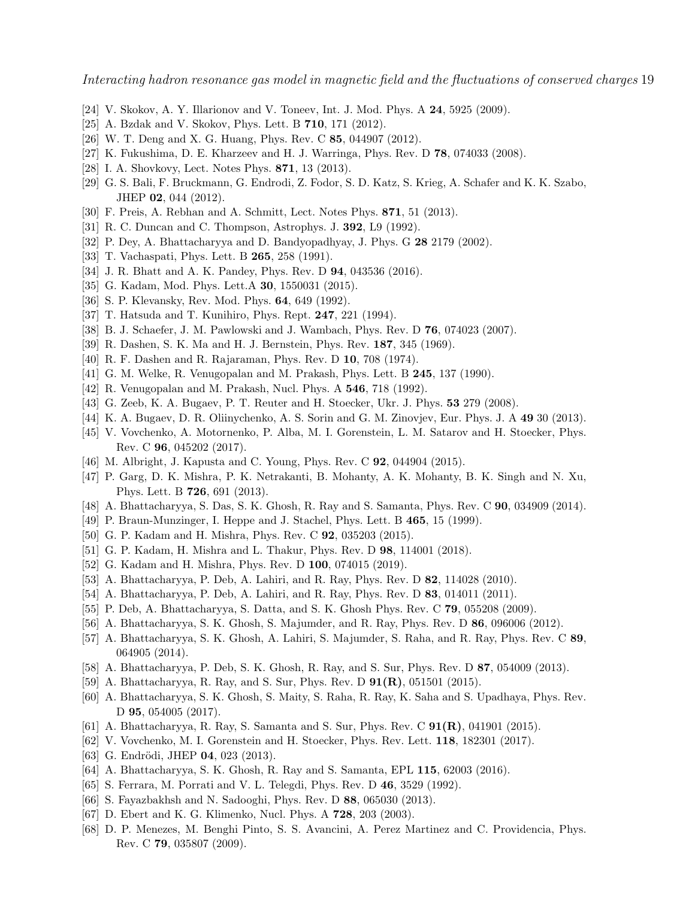- [24] V. Skokov, A. Y. Illarionov and V. Toneev, Int. J. Mod. Phys. A 24, 5925 (2009).
- [25] A. Bzdak and V. Skokov, Phys. Lett. B **710**, 171 (2012).
- [26] W. T. Deng and X. G. Huang, Phys. Rev. C 85, 044907 (2012).
- [27] K. Fukushima, D. E. Kharzeev and H. J. Warringa, Phys. Rev. D 78, 074033 (2008).
- [28] I. A. Shovkovy, Lect. Notes Phys. 871, 13 (2013).
- [29] G. S. Bali, F. Bruckmann, G. Endrodi, Z. Fodor, S. D. Katz, S. Krieg, A. Schafer and K. K. Szabo, JHEP 02, 044 (2012).
- [30] F. Preis, A. Rebhan and A. Schmitt, Lect. Notes Phys. 871, 51 (2013).
- [31] R. C. Duncan and C. Thompson, Astrophys. J. 392, L9 (1992).
- [32] P. Dey, A. Bhattacharyya and D. Bandyopadhyay, J. Phys. G 28 2179 (2002).
- [33] T. Vachaspati, Phys. Lett. B 265, 258 (1991).
- [34] J. R. Bhatt and A. K. Pandey, Phys. Rev. D 94, 043536 (2016).
- [35] G. Kadam, Mod. Phys. Lett.A **30**, 1550031 (2015).
- [36] S. P. Klevansky, Rev. Mod. Phys. **64**, 649 (1992).
- [37] T. Hatsuda and T. Kunihiro, Phys. Rept. 247, 221 (1994).
- [38] B. J. Schaefer, J. M. Pawlowski and J. Wambach, Phys. Rev. D 76, 074023 (2007).
- [39] R. Dashen, S. K. Ma and H. J. Bernstein, Phys. Rev. 187, 345 (1969).
- [40] R. F. Dashen and R. Rajaraman, Phys. Rev. D 10, 708 (1974).
- [41] G. M. Welke, R. Venugopalan and M. Prakash, Phys. Lett. B 245, 137 (1990).
- [42] R. Venugopalan and M. Prakash, Nucl. Phys. A 546, 718 (1992).
- [43] G. Zeeb, K. A. Bugaev, P. T. Reuter and H. Stoecker, Ukr. J. Phys. 53 279 (2008).
- [44] K. A. Bugaev, D. R. Oliinychenko, A. S. Sorin and G. M. Zinovjev, Eur. Phys. J. A 49 30 (2013).
- [45] V. Vovchenko, A. Motornenko, P. Alba, M. I. Gorenstein, L. M. Satarov and H. Stoecker, Phys. Rev. C 96, 045202 (2017).
- [46] M. Albright, J. Kapusta and C. Young, Phys. Rev. C **92**, 044904 (2015).
- [47] P. Garg, D. K. Mishra, P. K. Netrakanti, B. Mohanty, A. K. Mohanty, B. K. Singh and N. Xu, Phys. Lett. B 726, 691 (2013).
- [48] A. Bhattacharyya, S. Das, S. K. Ghosh, R. Ray and S. Samanta, Phys. Rev. C 90, 034909 (2014).
- [49] P. Braun-Munzinger, I. Heppe and J. Stachel, Phys. Lett. B 465, 15 (1999).
- [50] G. P. Kadam and H. Mishra, Phys. Rev. C 92, 035203 (2015).
- [51] G. P. Kadam, H. Mishra and L. Thakur, Phys. Rev. D 98, 114001 (2018).
- [52] G. Kadam and H. Mishra, Phys. Rev. D 100, 074015 (2019).
- [53] A. Bhattacharyya, P. Deb, A. Lahiri, and R. Ray, Phys. Rev. D 82, 114028 (2010).
- [54] A. Bhattacharyya, P. Deb, A. Lahiri, and R. Ray, Phys. Rev. D 83, 014011 (2011).
- [55] P. Deb, A. Bhattacharyya, S. Datta, and S. K. Ghosh Phys. Rev. C 79, 055208 (2009).
- [56] A. Bhattacharyya, S. K. Ghosh, S. Majumder, and R. Ray, Phys. Rev. D 86, 096006 (2012).
- [57] A. Bhattacharyya, S. K. Ghosh, A. Lahiri, S. Majumder, S. Raha, and R. Ray, Phys. Rev. C 89, 064905 (2014).
- [58] A. Bhattacharyya, P. Deb, S. K. Ghosh, R. Ray, and S. Sur, Phys. Rev. D 87, 054009 (2013).
- [59] A. Bhattacharyya, R. Ray, and S. Sur, Phys. Rev. D 91(R), 051501 (2015).
- [60] A. Bhattacharyya, S. K. Ghosh, S. Maity, S. Raha, R. Ray, K. Saha and S. Upadhaya, Phys. Rev. D 95, 054005 (2017).
- [61] A. Bhattacharyya, R. Ray, S. Samanta and S. Sur, Phys. Rev. C 91(R), 041901 (2015).
- [62] V. Vovchenko, M. I. Gorenstein and H. Stoecker, Phys. Rev. Lett. 118, 182301 (2017).
- [63] G. Endrödi, JHEP 04, 023 (2013).
- [64] A. Bhattacharyya, S. K. Ghosh, R. Ray and S. Samanta, EPL 115, 62003 (2016).
- [65] S. Ferrara, M. Porrati and V. L. Telegdi, Phys. Rev. D 46, 3529 (1992).
- [66] S. Fayazbakhsh and N. Sadooghi, Phys. Rev. D 88, 065030 (2013).
- [67] D. Ebert and K. G. Klimenko, Nucl. Phys. A 728, 203 (2003).
- [68] D. P. Menezes, M. Benghi Pinto, S. S. Avancini, A. Perez Martinez and C. Providencia, Phys. Rev. C 79, 035807 (2009).